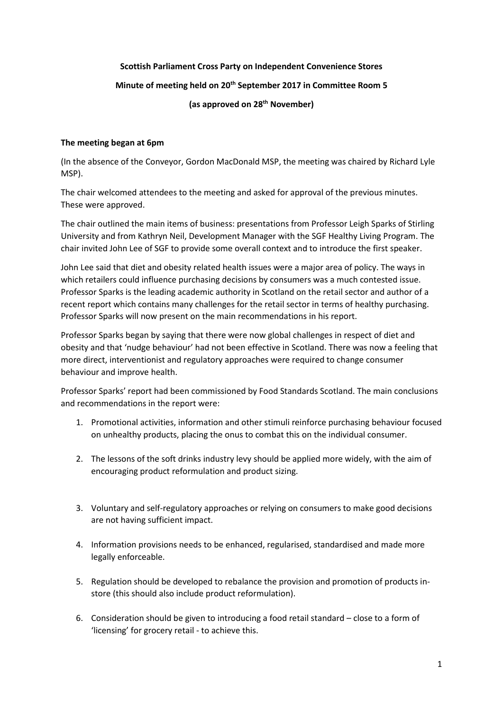# **Scottish Parliament Cross Party on Independent Convenience Stores Minute of meeting held on 20th September 2017 in Committee Room 5 (as approved on 28th November)**

#### **The meeting began at 6pm**

(In the absence of the Conveyor, Gordon MacDonald MSP, the meeting was chaired by Richard Lyle MSP).

The chair welcomed attendees to the meeting and asked for approval of the previous minutes. These were approved.

The chair outlined the main items of business: presentations from Professor Leigh Sparks of Stirling University and from Kathryn Neil, Development Manager with the SGF Healthy Living Program. The chair invited John Lee of SGF to provide some overall context and to introduce the first speaker.

John Lee said that diet and obesity related health issues were a major area of policy. The ways in which retailers could influence purchasing decisions by consumers was a much contested issue. Professor Sparks is the leading academic authority in Scotland on the retail sector and author of a recent report which contains many challenges for the retail sector in terms of healthy purchasing. Professor Sparks will now present on the main recommendations in his report.

Professor Sparks began by saying that there were now global challenges in respect of diet and obesity and that 'nudge behaviour' had not been effective in Scotland. There was now a feeling that more direct, interventionist and regulatory approaches were required to change consumer behaviour and improve health.

Professor Sparks' report had been commissioned by Food Standards Scotland. The main conclusions and recommendations in the report were:

- 1. Promotional activities, information and other stimuli reinforce purchasing behaviour focused on unhealthy products, placing the onus to combat this on the individual consumer.
- 2. The lessons of the soft drinks industry levy should be applied more widely, with the aim of encouraging product reformulation and product sizing.
- 3. Voluntary and self-regulatory approaches or relying on consumers to make good decisions are not having sufficient impact.
- 4. Information provisions needs to be enhanced, regularised, standardised and made more legally enforceable.
- 5. Regulation should be developed to rebalance the provision and promotion of products instore (this should also include product reformulation).
- 6. Consideration should be given to introducing a food retail standard close to a form of 'licensing' for grocery retail - to achieve this.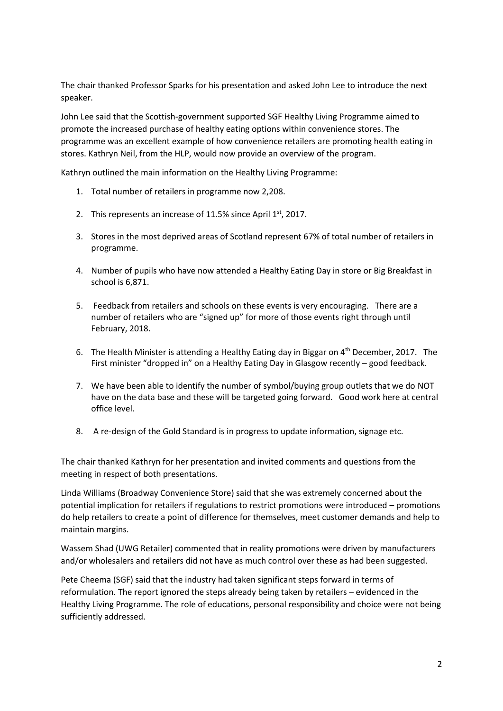The chair thanked Professor Sparks for his presentation and asked John Lee to introduce the next speaker.

John Lee said that the Scottish-government supported SGF Healthy Living Programme aimed to promote the increased purchase of healthy eating options within convenience stores. The programme was an excellent example of how convenience retailers are promoting health eating in stores. Kathryn Neil, from the HLP, would now provide an overview of the program.

Kathryn outlined the main information on the Healthy Living Programme:

- 1. Total number of retailers in programme now 2,208.
- 2. This represents an increase of 11.5% since April  $1<sup>st</sup>$ , 2017.
- 3. Stores in the most deprived areas of Scotland represent 67% of total number of retailers in programme.
- 4. Number of pupils who have now attended a Healthy Eating Day in store or Big Breakfast in school is 6,871.
- 5. Feedback from retailers and schools on these events is very encouraging. There are a number of retailers who are "signed up" for more of those events right through until February, 2018.
- 6. The Health Minister is attending a Healthy Eating day in Biggar on  $4<sup>th</sup>$  December, 2017. The First minister "dropped in" on a Healthy Eating Day in Glasgow recently – good feedback.
- 7. We have been able to identify the number of symbol/buying group outlets that we do NOT have on the data base and these will be targeted going forward. Good work here at central office level.
- 8. A re-design of the Gold Standard is in progress to update information, signage etc.

The chair thanked Kathryn for her presentation and invited comments and questions from the meeting in respect of both presentations.

Linda Williams (Broadway Convenience Store) said that she was extremely concerned about the potential implication for retailers if regulations to restrict promotions were introduced – promotions do help retailers to create a point of difference for themselves, meet customer demands and help to maintain margins.

Wassem Shad (UWG Retailer) commented that in reality promotions were driven by manufacturers and/or wholesalers and retailers did not have as much control over these as had been suggested.

Pete Cheema (SGF) said that the industry had taken significant steps forward in terms of reformulation. The report ignored the steps already being taken by retailers – evidenced in the Healthy Living Programme. The role of educations, personal responsibility and choice were not being sufficiently addressed.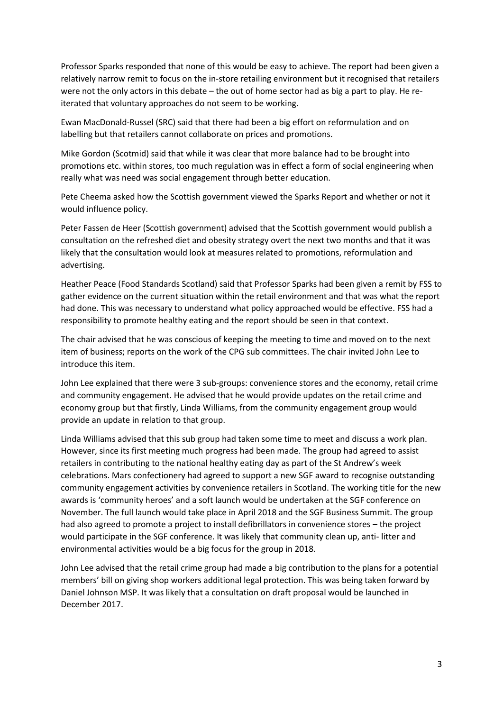Professor Sparks responded that none of this would be easy to achieve. The report had been given a relatively narrow remit to focus on the in-store retailing environment but it recognised that retailers were not the only actors in this debate – the out of home sector had as big a part to play. He reiterated that voluntary approaches do not seem to be working.

Ewan MacDonald-Russel (SRC) said that there had been a big effort on reformulation and on labelling but that retailers cannot collaborate on prices and promotions.

Mike Gordon (Scotmid) said that while it was clear that more balance had to be brought into promotions etc. within stores, too much regulation was in effect a form of social engineering when really what was need was social engagement through better education.

Pete Cheema asked how the Scottish government viewed the Sparks Report and whether or not it would influence policy.

Peter Fassen de Heer (Scottish government) advised that the Scottish government would publish a consultation on the refreshed diet and obesity strategy overt the next two months and that it was likely that the consultation would look at measures related to promotions, reformulation and advertising.

Heather Peace (Food Standards Scotland) said that Professor Sparks had been given a remit by FSS to gather evidence on the current situation within the retail environment and that was what the report had done. This was necessary to understand what policy approached would be effective. FSS had a responsibility to promote healthy eating and the report should be seen in that context.

The chair advised that he was conscious of keeping the meeting to time and moved on to the next item of business; reports on the work of the CPG sub committees. The chair invited John Lee to introduce this item.

John Lee explained that there were 3 sub-groups: convenience stores and the economy, retail crime and community engagement. He advised that he would provide updates on the retail crime and economy group but that firstly, Linda Williams, from the community engagement group would provide an update in relation to that group.

Linda Williams advised that this sub group had taken some time to meet and discuss a work plan. However, since its first meeting much progress had been made. The group had agreed to assist retailers in contributing to the national healthy eating day as part of the St Andrew's week celebrations. Mars confectionery had agreed to support a new SGF award to recognise outstanding community engagement activities by convenience retailers in Scotland. The working title for the new awards is 'community heroes' and a soft launch would be undertaken at the SGF conference on November. The full launch would take place in April 2018 and the SGF Business Summit. The group had also agreed to promote a project to install defibrillators in convenience stores – the project would participate in the SGF conference. It was likely that community clean up, anti- litter and environmental activities would be a big focus for the group in 2018.

John Lee advised that the retail crime group had made a big contribution to the plans for a potential members' bill on giving shop workers additional legal protection. This was being taken forward by Daniel Johnson MSP. It was likely that a consultation on draft proposal would be launched in December 2017.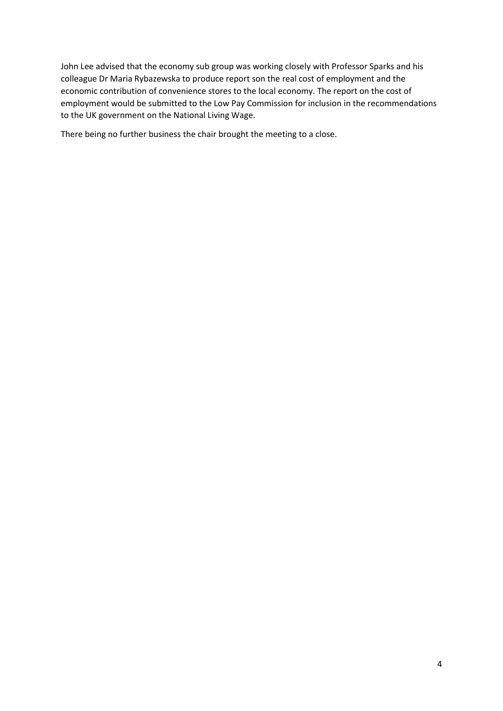John Lee advised that the economy sub group was working closely with Professor Sparks and his colleague Dr Maria Rybazewska to produce report son the real cost of employment and the economic contribution of convenience stores to the local economy. The report on the cost of employment would be submitted to the Low Pay Commission for inclusion in the recommendations to the UK government on the National Living Wage.

There being no further business the chair brought the meeting to a close.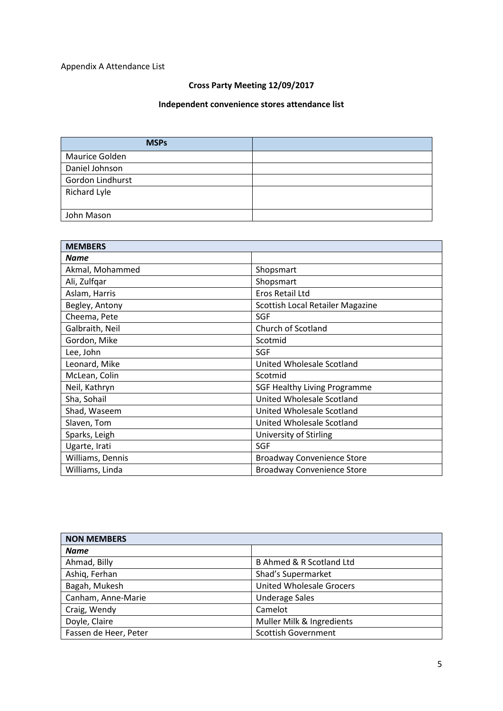## Appendix A Attendance List

## **Cross Party Meeting 12/09/2017**

#### **Independent convenience stores attendance list**

| <b>MSPs</b>      |  |
|------------------|--|
| Maurice Golden   |  |
| Daniel Johnson   |  |
| Gordon Lindhurst |  |
| Richard Lyle     |  |
|                  |  |
| John Mason       |  |

| <b>MEMBERS</b>   |                                     |
|------------------|-------------------------------------|
| Name             |                                     |
| Akmal, Mohammed  | Shopsmart                           |
| Ali, Zulfqar     | Shopsmart                           |
| Aslam, Harris    | Eros Retail Ltd                     |
| Begley, Antony   | Scottish Local Retailer Magazine    |
| Cheema, Pete     | <b>SGF</b>                          |
| Galbraith, Neil  | Church of Scotland                  |
| Gordon, Mike     | Scotmid                             |
| Lee, John        | SGF                                 |
| Leonard, Mike    | United Wholesale Scotland           |
| McLean, Colin    | Scotmid                             |
| Neil, Kathryn    | <b>SGF Healthy Living Programme</b> |
| Sha, Sohail      | United Wholesale Scotland           |
| Shad, Waseem     | United Wholesale Scotland           |
| Slaven, Tom      | United Wholesale Scotland           |
| Sparks, Leigh    | University of Stirling              |
| Ugarte, Irati    | <b>SGF</b>                          |
| Williams, Dennis | <b>Broadway Convenience Store</b>   |
| Williams, Linda  | <b>Broadway Convenience Store</b>   |

| <b>NON MEMBERS</b>    |                                     |
|-----------------------|-------------------------------------|
| <b>Name</b>           |                                     |
| Ahmad, Billy          | <b>B Ahmed &amp; R Scotland Ltd</b> |
| Ashiq, Ferhan         | Shad's Supermarket                  |
| Bagah, Mukesh         | <b>United Wholesale Grocers</b>     |
| Canham, Anne-Marie    | <b>Underage Sales</b>               |
| Craig, Wendy          | Camelot                             |
| Doyle, Claire         | Muller Milk & Ingredients           |
| Fassen de Heer, Peter | <b>Scottish Government</b>          |